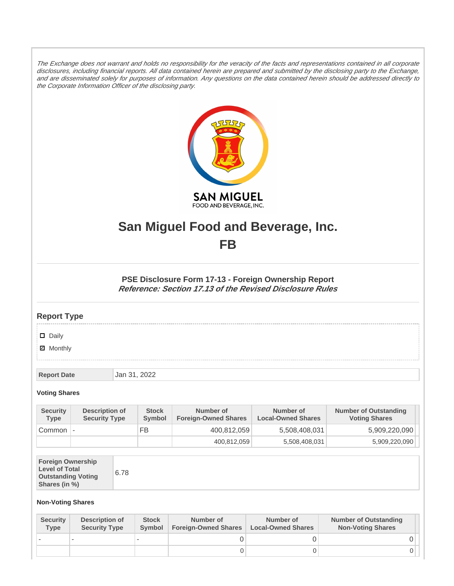The Exchange does not warrant and holds no responsibility for the veracity of the facts and representations contained in all corporate disclosures, including financial reports. All data contained herein are prepared and submitted by the disclosing party to the Exchange, and are disseminated solely for purposes of information. Any questions on the data contained herein should be addressed directly to the Corporate Information Officer of the disclosing party.



# **San Miguel Food and Beverage, Inc. FB**

**PSE Disclosure Form 17-13 - Foreign Ownership Report Reference: Section 17.13 of the Revised Disclosure Rules**

## **Report Type**

### Daily

**Ø** Monthly

**Report Date** Jan 31, 2022

### **Voting Shares**

| <b>Security</b><br><b>Type</b> | Description of<br><b>Security Type</b> | <b>Stock</b><br><b>Symbol</b> | Number of<br><b>Foreign-Owned Shares</b> | Number of<br><b>Local-Owned Shares</b> | <b>Number of Outstanding</b><br><b>Voting Shares</b> |
|--------------------------------|----------------------------------------|-------------------------------|------------------------------------------|----------------------------------------|------------------------------------------------------|
| Common -                       |                                        | FB                            | 400.812.059                              | 5,508,408,031                          | 5,909,220,090                                        |
|                                |                                        |                               | 400,812,059                              | 5,508,408,031                          | 5,909,220,090                                        |

| <b>Foreign Ownership</b><br><b>Level of Total</b><br><b>Outstanding Voting</b><br>Shares (in %) |
|-------------------------------------------------------------------------------------------------|
|-------------------------------------------------------------------------------------------------|

#### **Non-Voting Shares**

| <b>Security</b><br>Type | Description of<br><b>Security Type</b> | <b>Stock</b><br><b>Symbol</b> | Number of<br><b>Foreign-Owned Shares</b> | Number of<br><b>Local-Owned Shares</b> | <b>Number of Outstanding</b><br><b>Non-Voting Shares</b> |
|-------------------------|----------------------------------------|-------------------------------|------------------------------------------|----------------------------------------|----------------------------------------------------------|
|                         |                                        |                               |                                          |                                        |                                                          |
|                         |                                        |                               |                                          |                                        |                                                          |